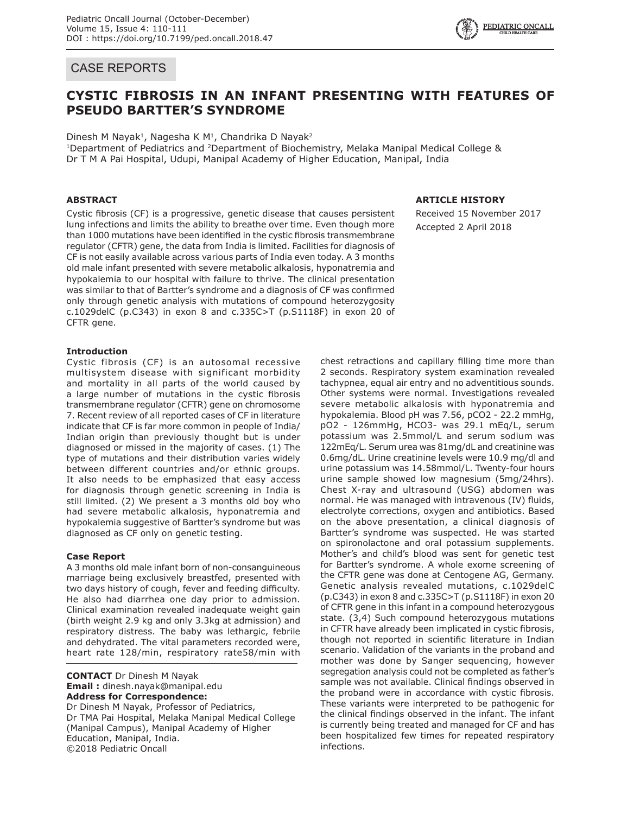# CASE REPORTS

# **CYSTIC FIBROSIS IN AN INFANT PRESENTING WITH FEATURES OF PSEUDO BARTTER'S SYNDROME**

Dinesh M Nayak<sup>1</sup>, Nagesha K M<sup>1</sup>, Chandrika D Nayak<sup>2</sup>

<sup>1</sup>Department of Pediatrics and <sup>2</sup>Department of Biochemistry, Melaka Manipal Medical College & Dr T M A Pai Hospital, Udupi, Manipal Academy of Higher Education, Manipal, India

## **ABSTRACT**

Cystic fibrosis (CF) is a progressive, genetic disease that causes persistent lung infections and limits the ability to breathe over time. Even though more than 1000 mutations have been identified in the cystic fibrosis transmembrane regulator (CFTR) gene, the data from India is limited. Facilities for diagnosis of CF is not easily available across various parts of India even today. A 3 months old male infant presented with severe metabolic alkalosis, hyponatremia and hypokalemia to our hospital with failure to thrive. The clinical presentation was similar to that of Bartter's syndrome and a diagnosis of CF was confirmed only through genetic analysis with mutations of compound heterozygosity c.1029delC (p.C343) in exon 8 and c.335C>T (p.S1118F) in exon 20 of CFTR gene.

### **Introduction**

Cystic fibrosis (CF) is an autosomal recessive multisystem disease with significant morbidity and mortality in all parts of the world caused by a large number of mutations in the cystic fibrosis transmembrane regulator (CFTR) gene on chromosome 7. Recent review of all reported cases of CF in literature indicate that CF is far more common in people of India/ Indian origin than previously thought but is under diagnosed or missed in the majority of cases. (1) The type of mutations and their distribution varies widely between different countries and/or ethnic groups. It also needs to be emphasized that easy access for diagnosis through genetic screening in India is still limited. (2) We present a 3 months old boy who had severe metabolic alkalosis, hyponatremia and hypokalemia suggestive of Bartter's syndrome but was diagnosed as CF only on genetic testing.

### **Case Report**

A 3 months old male infant born of non-consanguineous marriage being exclusively breastfed, presented with two days history of cough, fever and feeding difficulty. He also had diarrhea one day prior to admission. Clinical examination revealed inadequate weight gain (birth weight 2.9 kg and only 3.3kg at admission) and respiratory distress. The baby was lethargic, febrile and dehydrated. The vital parameters recorded were, heart rate 128/min, respiratory rate58/min with

**CONTACT** Dr Dinesh M Nayak **Email :** dinesh.nayak@manipal.edu **Address for Correspondence:** Dr Dinesh M Nayak, Professor of Pediatrics, Dr TMA Pai Hospital, Melaka Manipal Medical College (Manipal Campus), Manipal Academy of Higher Education, Manipal, India. ©2018 Pediatric Oncall

# **ARTICLE HISTORY**

Received 15 November 2017 Accepted 2 April 2018

chest retractions and capillary filling time more than 2 seconds. Respiratory system examination revealed tachypnea, equal air entry and no adventitious sounds. Other systems were normal. Investigations revealed severe metabolic alkalosis with hyponatremia and hypokalemia. Blood pH was 7.56, pCO2 - 22.2 mmHg, pO2 - 126mmHg, HCO3- was 29.1 mEq/L, serum potassium was 2.5mmol/L and serum sodium was 122mEq/L. Serum urea was 81mg/dL and creatinine was 0.6mg/dL. Urine creatinine levels were 10.9 mg/dl and urine potassium was 14.58mmol/L. Twenty-four hours urine sample showed low magnesium (5mg/24hrs). Chest X-ray and ultrasound (USG) abdomen was normal. He was managed with intravenous (IV) fluids, electrolyte corrections, oxygen and antibiotics. Based on the above presentation, a clinical diagnosis of Bartter's syndrome was suspected. He was started on spironolactone and oral potassium supplements. Mother's and child's blood was sent for genetic test for Bartter's syndrome. A whole exome screening of the CFTR gene was done at Centogene AG, Germany. Genetic analysis revealed mutations, c.1029delC (p.C343) in exon 8 and c.335C>T (p.S1118F) in exon 20 of CFTR gene in this infant in a compound heterozygous state. (3,4) Such compound heterozygous mutations in CFTR have already been implicated in cystic fibrosis, though not reported in scientific literature in Indian scenario. Validation of the variants in the proband and mother was done by Sanger sequencing, however segregation analysis could not be completed as father's sample was not available. Clinical findings observed in the proband were in accordance with cystic fibrosis. These variants were interpreted to be pathogenic for the clinical findings observed in the infant. The infant is currently being treated and managed for CF and has been hospitalized few times for repeated respiratory infections.